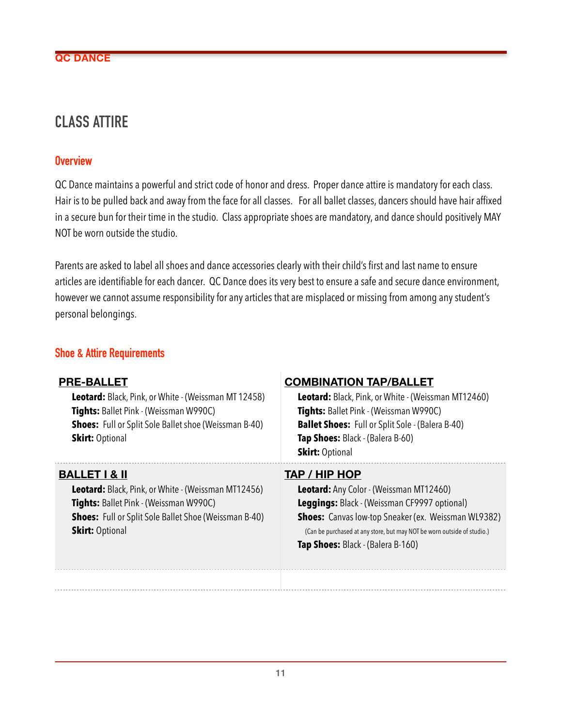## **CLASS ATTIRE**

## **Overview**

QC Dance maintains a powerful and strict code of honor and dress. Proper dance attire is mandatory for each class. Hair is to be pulled back and away from the face for all classes. For all ballet classes, dancers should have hair affixed in a secure bun for their time in the studio. Class appropriate shoes are mandatory, and dance should positively MAY NOT be worn outside the studio.

Parents are asked to label all shoes and dance accessories clearly with their child's first and last name to ensure articles are identifiable for each dancer. QC Dance does its very best to ensure a safe and secure dance environment, however we cannot assume responsibility for any articles that are misplaced or missing from among any student's personal belongings.

## **Shoe & Attire Requirements**

| <b>PRE-BALLET</b><br>Leotard: Black, Pink, or White - (Weissman MT 12458)<br>Tights: Ballet Pink - (Weissman W990C)<br><b>Shoes:</b> Full or Split Sole Ballet shoe (Weissman B-40)<br><b>Skirt: Optional</b>                     | <b>COMBINATION TAP/BALLET</b><br>Leotard: Black, Pink, or White - (Weissman MT12460)<br>Tights: Ballet Pink - (Weissman W990C)<br><b>Ballet Shoes:</b> Full or Split Sole - (Balera B-40)<br>Tap Shoes: Black - (Balera B-60)<br><b>Skirt: Optional</b>                                       |
|-----------------------------------------------------------------------------------------------------------------------------------------------------------------------------------------------------------------------------------|-----------------------------------------------------------------------------------------------------------------------------------------------------------------------------------------------------------------------------------------------------------------------------------------------|
| <b>BALLET   &amp; II</b><br><b>Leotard:</b> Black, Pink, or White - (Weissman MT12456)<br><b>Tights:</b> Ballet Pink - (Weissman W990C)<br><b>Shoes:</b> Full or Split Sole Ballet Shoe (Weissman B-40)<br><b>Skirt: Optional</b> | TAP / HIP HOP<br><b>Leotard:</b> Any Color - (Weissman MT12460)<br>Leggings: Black - (Weissman CF9997 optional)<br><b>Shoes:</b> Canvas low-top Sneaker (ex. Weissman WL9382)<br>(Can be purchased at any store, but may NOT be worn outside of studio.)<br>Tap Shoes: Black - (Balera B-160) |